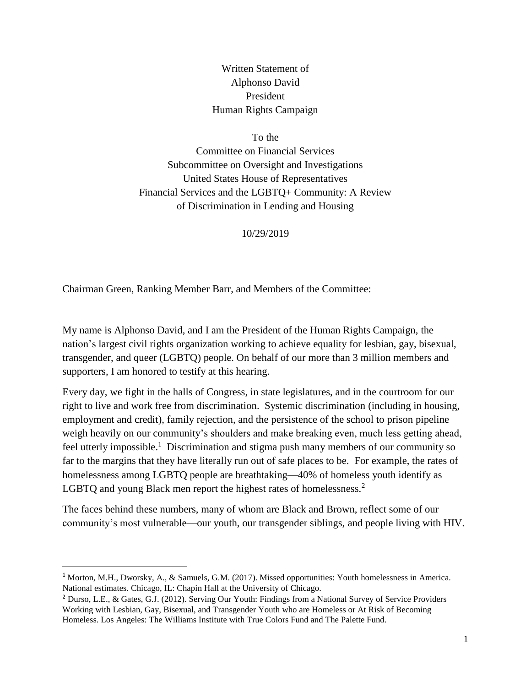Written Statement of Alphonso David President Human Rights Campaign

To the

Committee on Financial Services Subcommittee on Oversight and Investigations United States House of Representatives Financial Services and the LGBTQ+ Community: A Review of Discrimination in Lending and Housing

10/29/2019

Chairman Green, Ranking Member Barr, and Members of the Committee:

My name is Alphonso David, and I am the President of the Human Rights Campaign, the nation's largest civil rights organization working to achieve equality for lesbian, gay, bisexual, transgender, and queer (LGBTQ) people. On behalf of our more than 3 million members and supporters, I am honored to testify at this hearing.

Every day, we fight in the halls of Congress, in state legislatures, and in the courtroom for our right to live and work free from discrimination. Systemic discrimination (including in housing, employment and credit), family rejection, and the persistence of the school to prison pipeline weigh heavily on our community's shoulders and make breaking even, much less getting ahead, feel utterly impossible.<sup>1</sup> Discrimination and stigma push many members of our community so far to the margins that they have literally run out of safe places to be. For example, the rates of homelessness among LGBTQ people are breathtaking—40% of homeless youth identify as LGBTQ and young Black men report the highest rates of homelessness.<sup>2</sup>

The faces behind these numbers, many of whom are Black and Brown, reflect some of our community's most vulnerable—our youth, our transgender siblings, and people living with HIV.

 $\overline{a}$ 

<sup>1</sup> Morton, M.H., Dworsky, A., & Samuels, G.M. (2017). Missed opportunities: Youth homelessness in America. National estimates. Chicago, IL: Chapin Hall at the University of Chicago.

<sup>&</sup>lt;sup>2</sup> Durso, L.E., & Gates, G.J. (2012). Serving Our Youth: Findings from a National Survey of Service Providers Working with Lesbian, Gay, Bisexual, and Transgender Youth who are Homeless or At Risk of Becoming Homeless. Los Angeles: The Williams Institute with True Colors Fund and The Palette Fund.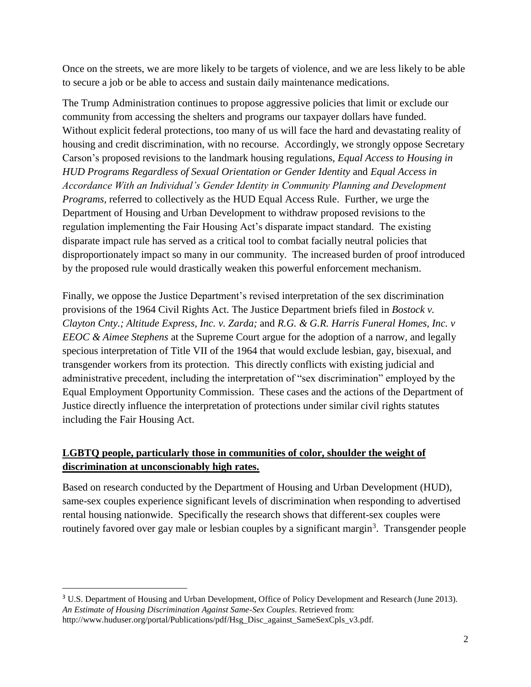Once on the streets, we are more likely to be targets of violence, and we are less likely to be able to secure a job or be able to access and sustain daily maintenance medications.

The Trump Administration continues to propose aggressive policies that limit or exclude our community from accessing the shelters and programs our taxpayer dollars have funded. Without explicit federal protections, too many of us will face the hard and devastating reality of housing and credit discrimination, with no recourse. Accordingly, we strongly oppose Secretary Carson's proposed revisions to the landmark housing regulations, *Equal Access to Housing in HUD Programs Regardless of Sexual Orientation or Gender Identity* and *Equal Access in Accordance With an Individual's Gender Identity in Community Planning and Development Programs*, referred to collectively as the HUD Equal Access Rule. Further, we urge the Department of Housing and Urban Development to withdraw proposed revisions to the regulation implementing the Fair Housing Act's disparate impact standard. The existing disparate impact rule has served as a critical tool to combat facially neutral policies that disproportionately impact so many in our community. The increased burden of proof introduced by the proposed rule would drastically weaken this powerful enforcement mechanism.

Finally, we oppose the Justice Department's revised interpretation of the sex discrimination provisions of the 1964 Civil Rights Act. The Justice Department briefs filed in *Bostock v. Clayton Cnty.; Altitude Express, Inc. v. Zarda;* and *R.G. & G.R. Harris Funeral Homes, Inc. v EEOC & Aimee Stephens* at the Supreme Court argue for the adoption of a narrow, and legally specious interpretation of Title VII of the 1964 that would exclude lesbian, gay, bisexual, and transgender workers from its protection. This directly conflicts with existing judicial and administrative precedent, including the interpretation of "sex discrimination" employed by the Equal Employment Opportunity Commission. These cases and the actions of the Department of Justice directly influence the interpretation of protections under similar civil rights statutes including the Fair Housing Act.

# **LGBTQ people, particularly those in communities of color, shoulder the weight of discrimination at unconscionably high rates.**

Based on research conducted by the Department of Housing and Urban Development (HUD), same-sex couples experience significant levels of discrimination when responding to advertised rental housing nationwide. Specifically the research shows that different-sex couples were routinely favored over gay male or lesbian couples by a significant margin<sup>3</sup>. Transgender people

l

<sup>&</sup>lt;sup>3</sup> U.S. Department of Housing and Urban Development, Office of Policy Development and Research (June 2013). *An Estimate of Housing Discrimination Against Same-Sex Couples*. Retrieved from: http://www.huduser.org/portal/Publications/pdf/Hsg\_Disc\_against\_SameSexCpls\_v3.pdf.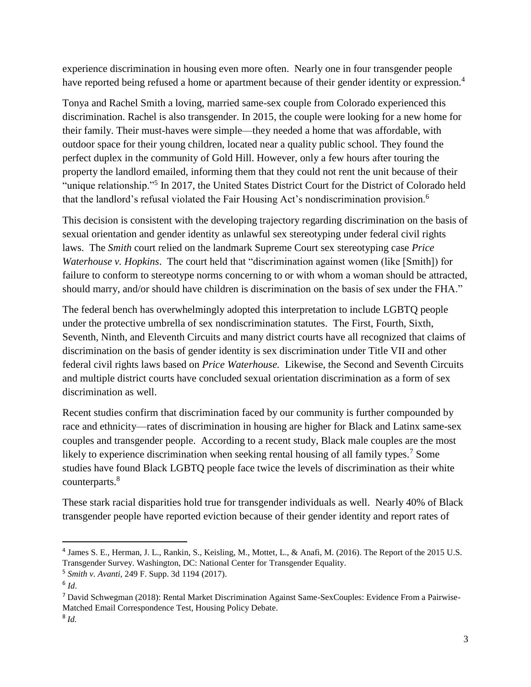experience discrimination in housing even more often. Nearly one in four transgender people have reported being refused a home or apartment because of their gender identity or expression.<sup>4</sup>

Tonya and Rachel Smith a loving, married same-sex couple from Colorado experienced this discrimination. Rachel is also transgender. In 2015, the couple were looking for a new home for their family. Their must-haves were simple—they needed a home that was affordable, with outdoor space for their young children, located near a quality public school. They found the perfect duplex in the community of Gold Hill. However, only a few hours after touring the property the landlord emailed, informing them that they could not rent the unit because of their "unique relationship."<sup>5</sup> In 2017, the United States District Court for the District of Colorado held that the landlord's refusal violated the Fair Housing Act's nondiscrimination provision.<sup>6</sup>

This decision is consistent with the developing trajectory regarding discrimination on the basis of sexual orientation and gender identity as unlawful sex stereotyping under federal civil rights laws. The *Smith* court relied on the landmark Supreme Court sex stereotyping case *Price Waterhouse v. Hopkins.* The court held that "discrimination against women (like [Smith]) for failure to conform to stereotype norms concerning to or with whom a woman should be attracted, should marry, and/or should have children is discrimination on the basis of sex under the FHA."

The federal bench has overwhelmingly adopted this interpretation to include LGBTQ people under the protective umbrella of sex nondiscrimination statutes. The First, Fourth, Sixth, Seventh, Ninth, and Eleventh Circuits and many district courts have all recognized that claims of discrimination on the basis of gender identity is sex discrimination under Title VII and other federal civil rights laws based on *Price Waterhouse.* Likewise, the Second and Seventh Circuits and multiple district courts have concluded sexual orientation discrimination as a form of sex discrimination as well.

Recent studies confirm that discrimination faced by our community is further compounded by race and ethnicity—rates of discrimination in housing are higher for Black and Latinx same-sex couples and transgender people. According to a recent study, Black male couples are the most likely to experience discrimination when seeking rental housing of all family types.<sup>7</sup> Some studies have found Black LGBTQ people face twice the levels of discrimination as their white counterparts.<sup>8</sup>

These stark racial disparities hold true for transgender individuals as well. Nearly 40% of Black transgender people have reported eviction because of their gender identity and report rates of

l

<sup>&</sup>lt;sup>4</sup> James S. E., Herman, J. L., Rankin, S., Keisling, M., Mottet, L., & Anafi, M. (2016). The Report of the 2015 U.S. Transgender Survey. Washington, DC: National Center for Transgender Equality.

<sup>5</sup> *[Smith v. Avanti](http://scholar.google.com/scholar_case?case=6027385875763755556&hl=en&as_sdt=6&as_vis=1&oi=scholarr)*[, 249 F. Supp. 3d 1194 \(2017\)](http://scholar.google.com/scholar_case?case=6027385875763755556&hl=en&as_sdt=6&as_vis=1&oi=scholarr).

<sup>6</sup> *Id*.

<sup>7</sup> David Schwegman (2018): Rental Market Discrimination Against Same-SexCouples: Evidence From a Pairwise-Matched Email Correspondence Test, Housing Policy Debate.

<sup>8</sup> *Id.*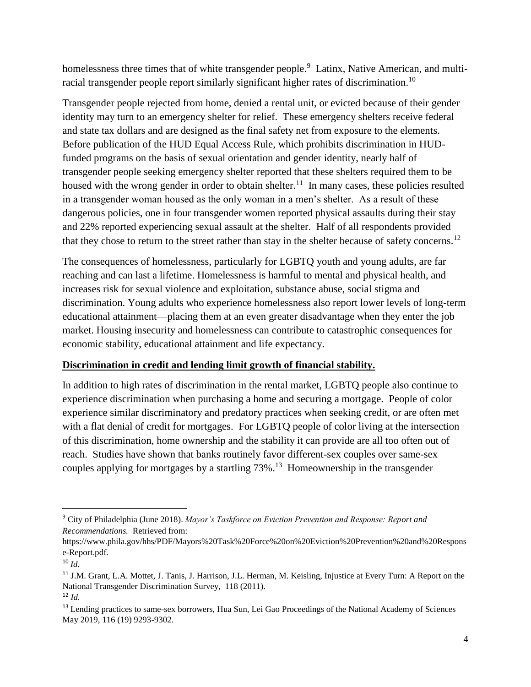homelessness three times that of white transgender people.<sup>9</sup> Latinx, Native American, and multiracial transgender people report similarly significant higher rates of discrimination.<sup>10</sup>

Transgender people rejected from home, denied a rental unit, or evicted because of their gender identity may turn to an emergency shelter for relief. These emergency shelters receive federal and state tax dollars and are designed as the final safety net from exposure to the elements. Before publication of the HUD Equal Access Rule, which prohibits discrimination in HUDfunded programs on the basis of sexual orientation and gender identity, nearly half of transgender people seeking emergency shelter reported that these shelters required them to be housed with the wrong gender in order to obtain shelter.<sup>11</sup> In many cases, these policies resulted in a transgender woman housed as the only woman in a men's shelter. As a result of these dangerous policies, one in four transgender women reported physical assaults during their stay and 22% reported experiencing sexual assault at the shelter. Half of all respondents provided that they chose to return to the street rather than stay in the shelter because of safety concerns.<sup>12</sup>

The consequences of homelessness, particularly for LGBTQ youth and young adults, are far reaching and can last a lifetime. Homelessness is harmful to mental and physical health, and increases risk for sexual violence and exploitation, substance abuse, social stigma and discrimination. Young adults who experience homelessness also report lower levels of long-term educational attainment—placing them at an even greater disadvantage when they enter the job market. Housing insecurity and homelessness can contribute to catastrophic consequences for economic stability, educational attainment and life expectancy.

#### **Discrimination in credit and lending limit growth of financial stability.**

In addition to high rates of discrimination in the rental market, LGBTQ people also continue to experience discrimination when purchasing a home and securing a mortgage. People of color experience similar discriminatory and predatory practices when seeking credit, or are often met with a flat denial of credit for mortgages. For LGBTQ people of color living at the intersection of this discrimination, home ownership and the stability it can provide are all too often out of reach. Studies have shown that banks routinely favor different-sex couples over same-sex couples applying for mortgages by a startling 73%.<sup>13</sup> Homeownership in the transgender

 $\overline{a}$ 

<sup>9</sup> City of Philadelphia (June 2018). *Mayor's Taskforce on Eviction Prevention and Response: Report and Recommendations.* Retrieved from:

https://www.phila.gov/hhs/PDF/Mayors%20Task%20Force%20on%20Eviction%20Prevention%20and%20Respons e-Report.pdf.

<sup>10</sup> *Id.*

<sup>11</sup> J.M. Grant, L.A. Mottet, J. Tanis, J. Harrison, J.L. Herman, M. Keisling, Injustice at Every Turn: A Report on the National Transgender Discrimination Survey, 118 (2011). <sup>12</sup> *Id.*

<sup>&</sup>lt;sup>13</sup> Lending practices to same-sex borrowers, Hua Sun, Lei Gao Proceedings of the National Academy of Sciences May 2019, 116 (19) 9293-9302.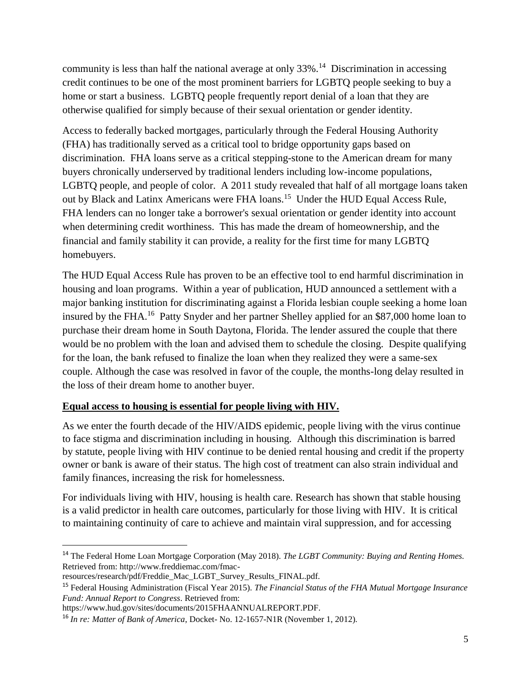community is less than half the national average at only  $33\%$ .<sup>14</sup> Discrimination in accessing credit continues to be one of the most prominent barriers for LGBTQ people seeking to buy a home or start a business. LGBTQ people frequently report denial of a loan that they are otherwise qualified for simply because of their sexual orientation or gender identity.

Access to federally backed mortgages, particularly through the Federal Housing Authority (FHA) has traditionally served as a critical tool to bridge opportunity gaps based on discrimination. FHA loans serve as a critical stepping-stone to the American dream for many buyers chronically underserved by traditional lenders including low-income populations, LGBTQ people, and people of color. A 2011 study revealed that half of all mortgage loans taken out by Black and Latinx Americans were FHA loans.<sup>15</sup> Under the HUD Equal Access Rule, FHA lenders can no longer take a borrower's sexual orientation or gender identity into account when determining credit worthiness. This has made the dream of homeownership, and the financial and family stability it can provide, a reality for the first time for many LGBTQ homebuyers.

The HUD Equal Access Rule has proven to be an effective tool to end harmful discrimination in housing and loan programs. Within a year of publication, HUD announced a settlement with a major banking institution for discriminating against a Florida lesbian couple seeking a home loan insured by the FHA.<sup>16</sup> Patty Snyder and her partner Shelley applied for an \$87,000 home loan to purchase their dream home in South Daytona, Florida. The lender assured the couple that there would be no problem with the loan and advised them to schedule the closing. Despite qualifying for the loan, the bank refused to finalize the loan when they realized they were a same-sex couple. Although the case was resolved in favor of the couple, the months-long delay resulted in the loss of their dream home to another buyer.

## **Equal access to housing is essential for people living with HIV.**

As we enter the fourth decade of the HIV/AIDS epidemic, people living with the virus continue to face stigma and discrimination including in housing. Although this discrimination is barred by statute, people living with HIV continue to be denied rental housing and credit if the property owner or bank is aware of their status. The high cost of treatment can also strain individual and family finances, increasing the risk for homelessness.

For individuals living with HIV, housing is health care. Research has shown that stable housing is a valid predictor in health care outcomes, particularly for those living with HIV. It is critical to maintaining continuity of care to achieve and maintain viral suppression, and for accessing

 $\overline{\phantom{a}}$ 

<sup>14</sup> The Federal Home Loan Mortgage Corporation (May 2018). *The LGBT Community: Buying and Renting Homes.*  Retrieved from: http://www.freddiemac.com/fmac-

resources/research/pdf/Freddie\_Mac\_LGBT\_Survey\_Results\_FINAL.pdf.

<sup>15</sup> Federal Housing Administration (Fiscal Year 2015). *The Financial Status of the FHA Mutual Mortgage Insurance Fund: Annual Report to Congress*. Retrieved from:

https://www.hud.gov/sites/documents/2015FHAANNUALREPORT.PDF.

<sup>16</sup> *In re: Matter of Bank of America*, Docket- No. 12-1657-N1R (November 1, 2012).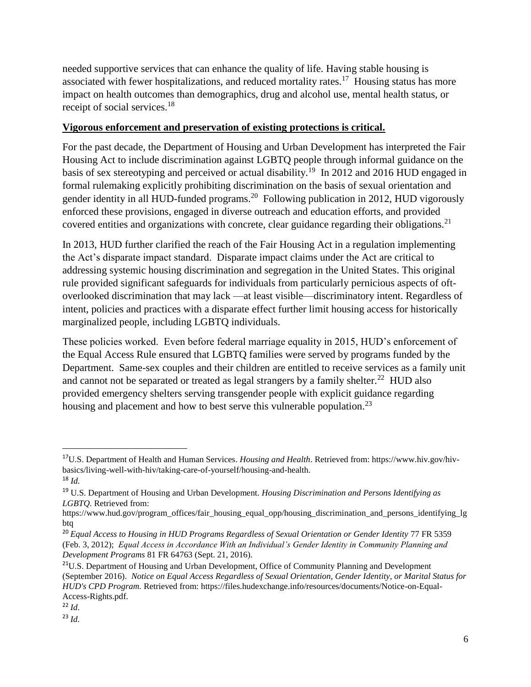needed supportive services that can enhance the quality of life. Having stable housing is associated with fewer hospitalizations, and reduced mortality rates.<sup>17</sup> Housing status has more impact on health outcomes than demographics, drug and alcohol use, mental health status, or receipt of social services.<sup>18</sup>

### **Vigorous enforcement and preservation of existing protections is critical.**

For the past decade, the Department of Housing and Urban Development has interpreted the Fair Housing Act to include discrimination against LGBTQ people through informal guidance on the basis of sex stereotyping and perceived or actual disability.<sup>19</sup> In 2012 and 2016 HUD engaged in formal rulemaking explicitly prohibiting discrimination on the basis of sexual orientation and gender identity in all HUD-funded programs.<sup>20</sup> Following publication in 2012, HUD vigorously enforced these provisions, engaged in diverse outreach and education efforts, and provided covered entities and organizations with concrete, clear guidance regarding their obligations.<sup>21</sup>

In 2013, HUD further clarified the reach of the Fair Housing Act in a regulation implementing the Act's disparate impact standard. Disparate impact claims under the Act are critical to addressing systemic housing discrimination and segregation in the United States. This original rule provided significant safeguards for individuals from particularly pernicious aspects of oftoverlooked discrimination that may lack —at least visible—discriminatory intent. Regardless of intent, policies and practices with a disparate effect further limit housing access for historically marginalized people, including LGBTQ individuals.

These policies worked. Even before federal marriage equality in 2015, HUD's enforcement of the Equal Access Rule ensured that LGBTQ families were served by programs funded by the Department. Same-sex couples and their children are entitled to receive services as a family unit and cannot not be separated or treated as legal strangers by a family shelter.<sup>22</sup> HUD also provided emergency shelters serving transgender people with explicit guidance regarding housing and placement and how to best serve this vulnerable population.<sup>23</sup>

 $\overline{\phantom{a}}$ 

<sup>17</sup>U.S. Department of Health and Human Services. *Housing and Health*. Retrieved from: https://www.hiv.gov/hivbasics/living-well-with-hiv/taking-care-of-yourself/housing-and-health.

<sup>18</sup> *Id.* 

<sup>19</sup> U.S. Department of Housing and Urban Development. *Housing Discrimination and Persons Identifying as LGBTQ*. Retrieved from:

https://www.hud.gov/program\_offices/fair\_housing\_equal\_opp/housing\_discrimination\_and\_persons\_identifying\_lg btq

<sup>&</sup>lt;sup>20</sup> Equal Access to Housing in HUD Programs Regardless of Sexual Orientation or Gender Identity 77 FR 5359 (Feb. 3, 2012); *Equal Access in Accordance With an Individual's Gender Identity in Community Planning and Development Programs* 81 FR 64763 (Sept. 21, 2016).

<sup>&</sup>lt;sup>21</sup>U.S. Department of Housing and Urban Development, Office of Community Planning and Development (September 2016). *[Notice on Equal Access Regardless of Sexual Orientation, Gender Identity, or Marital Status for](https://files.hudexchange.info/resources/documents/Notice-on-Equal-Access-Rights.pdf)  [HUD's CPD Program.](https://files.hudexchange.info/resources/documents/Notice-on-Equal-Access-Rights.pdf)* Retrieved from: https://files.hudexchange.info/resources/documents/Notice-on-Equal-Access-Rights.pdf.

<sup>22</sup> *Id.*

<sup>23</sup> *Id.*